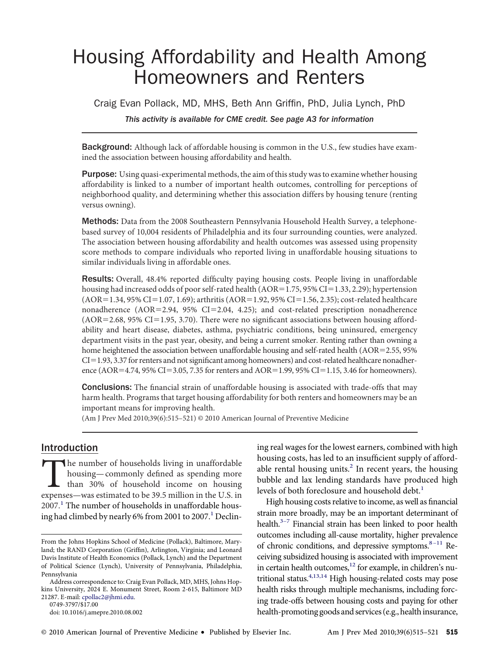# Housing Affordability and Health Among Homeowners and Renters

Craig Evan Pollack, MD, MHS, Beth Ann Griffin, PhD, Julia Lynch, PhD

*This activity is available for CME credit. See page A3 for information*

Background: Although lack of affordable housing is common in the U.S., few studies have examined the association between housing affordability and health.

Purpose: Using quasi-experimental methods, the aim of this study was to examine whether housing affordability is linked to a number of important health outcomes, controlling for perceptions of neighborhood quality, and determining whether this association differs by housing tenure (renting versus owning).

Methods: Data from the 2008 Southeastern Pennsylvania Household Health Survey, a telephonebased survey of 10,004 residents of Philadelphia and its four surrounding counties, were analyzed. The association between housing affordability and health outcomes was assessed using propensity score methods to compare individuals who reported living in unaffordable housing situations to similar individuals living in affordable ones.

Results: Overall, 48.4% reported diffıculty paying housing costs. People living in unaffordable housing had increased odds of poor self-rated health  $(AOR=1.75, 95\% CI=1.33, 2.29)$ ; hypertension  $(AOR=1.34, 95\% CI=1.07, 1.69)$ ; arthritis  $(AOR=1.92, 95\% CI=1.56, 2.35)$ ; cost-related healthcare nonadherence ( $AOR = 2.94$ ,  $95\%$   $CI = 2.04$ ,  $4.25$ ); and cost-related prescription nonadherence  $(AOR=2.68, 95\% \text{ CI}=1.95, 3.70)$ . There were no significant associations between housing affordability and heart disease, diabetes, asthma, psychiatric conditions, being uninsured, emergency department visits in the past year, obesity, and being a current smoker. Renting rather than owning a home heightened the association between unaffordable housing and self-rated health ( $AOR = 2.55$ , 95%  $CI = 1.93, 3.37$  for renters and not significant among homeowners) and cost-related healthcare nonadherence (AOR=4.74, 95% CI=3.05, 7.35 for renters and AOR=1.99, 95% CI=1.15, 3.46 for homeowners).

Conclusions: The fınancial strain of unaffordable housing is associated with trade-offs that may harm health. Programs that target housing affordability for both renters and homeowners may be an important means for improving health.

(Am J Prev Med 2010;39(6):515–521) © 2010 American Journal of Preventive Medicine

# Introduction

The number of households living in unaffordable<br>housing—commonly defined as spending more<br>than 30% of household income on housing<br>expenses—was estimated to be 39.5 million in the U.S. in housing— commonly defıned as spending more than 30% of household income on housing expenses—was estimated to be 39.5 million in the U.S. in  $2007<sup>1</sup>$  $2007<sup>1</sup>$  $2007<sup>1</sup>$ . The number of households in unaffordable housing had climbed by nearly 6% from 2001 to 2007.<sup>1</sup> Declin-

0749-3797/\$17.00

doi: 10.1016/j.amepre.2010.08.002

ing real wages for the lowest earners, combined with high housing costs, has led to an insuffıcient supply of affordable rental housing units. $<sup>2</sup>$  In recent years, the housing</sup> bubble and lax lending standards have produced high levels of both foreclosure and household debt.<sup>[1](#page-6-0)</sup>

High housing costs relative to income, as well as fınancial strain more broadly, may be an important determinant of health.<sup>3–7</sup> Financial strain has been linked to poor health outcomes including all-cause mortality, higher prevalence of chronic conditions, and depressive symptoms. $8-11$  Receiving subsidized housing is associated with improvement in certain health outcomes,<sup>12</sup> for example, in children's nutritional status[.4,13,14](#page-6-0) High housing-related costs may pose health risks through multiple mechanisms, including forcing trade-offs between housing costs and paying for other health-promoting goods and services (e.g., health insurance,

From the Johns Hopkins School of Medicine (Pollack), Baltimore, Maryland; the RAND Corporation (Griffın), Arlington, Virginia; and Leonard Davis Institute of Health Economics (Pollack, Lynch) and the Department of Political Science (Lynch), University of Pennsylvania, Philadelphia, Pennsylvania

Address correspondence to: Craig Evan Pollack, MD, MHS, Johns Hopkins University, 2024 E. Monument Street, Room 2-615, Baltimore MD 21287. E-mail: [cpollac2@jhmi.edu.](mailto:cpollac2@jhmi.edu)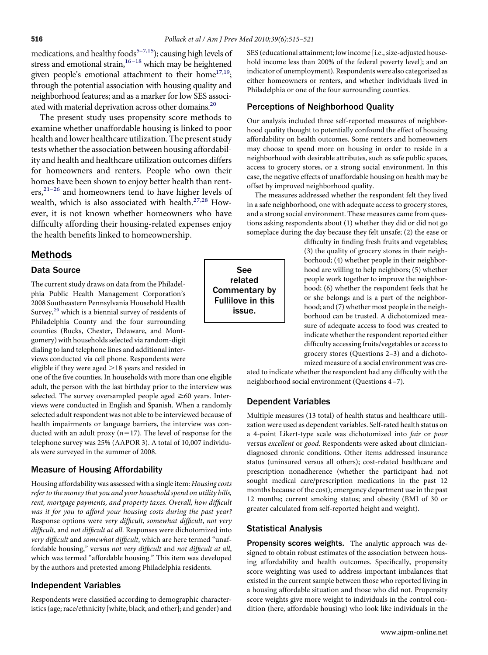medications, and healthy foods<sup>5-7,15</sup>); causing high levels of stress and emotional strain,<sup>16-18</sup> which may be heightened given people's emotional attachment to their home $17,19$ ; through the potential association with housing quality and neighborhood features; and as a marker for low SES associated with material deprivation across other domains.<sup>20</sup>

The present study uses propensity score methods to examine whether unaffordable housing is linked to poor health and lower healthcare utilization. The present study tests whether the association between housing affordability and health and healthcare utilization outcomes differs for homeowners and renters. People who own their homes have been shown to enjoy better health than rent $ers, <sup>21-26</sup>$  and homeowners tend to have higher levels of wealth, which is also associated with health.<sup>27,28</sup> However, it is not known whether homeowners who have diffıculty affording their housing-related expenses enjoy the health benefıts linked to homeownership.

# Methods

#### Data Source

The current study draws on data from the Philadelphia Public Health Management Corporation's 2008 Southeastern Pennsylvania Household Health Survey,<sup>29</sup> which is a biennial survey of residents of Philadelphia County and the four surrounding counties (Bucks, Chester, Delaware, and Montgomery) with households selected via random-digit dialing to land telephone lines and additional interviews conducted via cell phone. Respondents were eligible if they were aged  $>$ 18 years and resided in

one of the fıve counties. In households with more than one eligible adult, the person with the last birthday prior to the interview was selected. The survey oversampled people aged  $\geq 60$  years. Interviews were conducted in English and Spanish. When a randomly selected adult respondent was not able to be interviewed because of health impairments or language barriers, the interview was conducted with an adult proxy  $(n=17)$ . The level of response for the telephone survey was 25% (AAPOR 3). A total of 10,007 individuals were surveyed in the summer of 2008.

#### Measure of Housing Affordability

Housing affordability was assessed with a single item: *Housing costs refer to the money that you and your household spend on utility bills, rent, mortgage payments, and property taxes. Overall, how diffıcult was it for you to afford your housing costs during the past year?* Response options were *very diffıcult*, *somewhat diffıcult*, *not very diffıcult*, and *not diffıcult at all*. Responses were dichotomized into *very diffıcult* and *somewhat diffıcult*, which are here termed "unaffordable housing," versus *not very diffıcult* and *not diffıcult at all*, which was termed "affordable housing." This item was developed by the authors and pretested among Philadelphia residents.

# Independent Variables

Respondents were classifıed according to demographic characteristics (age; race/ethnicity [white, black, and other]; and gender) and SES (educational attainment; low income [i.e., size-adjusted household income less than 200% of the federal poverty level]; and an indicator of unemployment). Respondents were also categorized as either homeowners or renters, and whether individuals lived in Philadelphia or one of the four surrounding counties.

### Perceptions of Neighborhood Quality

Our analysis included three self-reported measures of neighborhood quality thought to potentially confound the effect of housing affordability on health outcomes. Some renters and homeowners may choose to spend more on housing in order to reside in a neighborhood with desirable attributes, such as safe public spaces, access to grocery stores, or a strong social environment. In this case, the negative effects of unaffordable housing on health may be offset by improved neighborhood quality.

The measures addressed whether the respondent felt they lived in a safe neighborhood, one with adequate access to grocery stores, and a strong social environment. These measures came from questions asking respondents about (1) whether they did or did not go someplace during the day because they felt unsafe; (2) the ease or

> diffıculty in fınding fresh fruits and vegetables; (3) the quality of grocery stores in their neighborhood; (4) whether people in their neighborhood are willing to help neighbors; (5) whether people work together to improve the neighborhood; (6) whether the respondent feels that he or she belongs and is a part of the neighborhood; and (7) whether most people in the neighborhood can be trusted. A dichotomized measure of adequate access to food was created to indicate whether the respondent reported either diffıculty accessing fruits/vegetables or access to grocery stores (Questions 2–3) and a dichotomized measure of a social environment was cre-

ated to indicate whether the respondent had any diffıculty with the neighborhood social environment (Questions 4 –7).

#### Dependent Variables

Multiple measures (13 total) of health status and healthcare utilization were used as dependent variables. Self-rated health status on a 4-point Likert-type scale was dichotomized into *fair* or *poor* versus *excellent* or *good*. Respondents were asked about cliniciandiagnosed chronic conditions. Other items addressed insurance status (uninsured versus all others); cost-related healthcare and prescription nonadherence (whether the participant had not sought medical care/prescription medications in the past 12 months because of the cost); emergency department use in the past 12 months; current smoking status; and obesity (BMI of 30 or greater calculated from self-reported height and weight).

#### Statistical Analysis

Propensity scores weights. The analytic approach was designed to obtain robust estimates of the association between housing affordability and health outcomes. Specifıcally, propensity score weighting was used to address important imbalances that existed in the current sample between those who reported living in a housing affordable situation and those who did not. Propensity score weights give more weight to individuals in the control condition (here, affordable housing) who look like individuals in the

www.ajpm-online.net

See related Commentary by Fullilove in this issue.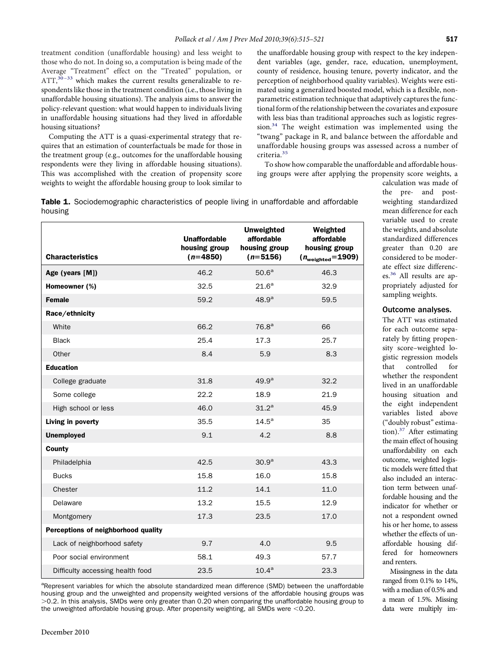<span id="page-2-0"></span>treatment condition (unaffordable housing) and less weight to those who do not. In doing so, a computation is being made of the Average "Treatment" effect on the "Treated" population, or  $ATT$ , $30-33$  which makes the current results generalizable to respondents like those in the treatment condition (i.e., those living in unaffordable housing situations). The analysis aims to answer the policy-relevant question: what would happen to individuals living in unaffordable housing situations had they lived in affordable housing situations?

Computing the ATT is a quasi-experimental strategy that requires that an estimation of counterfactuals be made for those in the treatment group (e.g., outcomes for the unaffordable housing respondents were they living in affordable housing situations). This was accomplished with the creation of propensity score weights to weight the affordable housing group to look similar to

the unaffordable housing group with respect to the key independent variables (age, gender, race, education, unemployment, county of residence, housing tenure, poverty indicator, and the perception of neighborhood quality variables). Weights were estimated using a generalized boosted model, which is a flexible, nonparametric estimation technique that adaptively captures the functional form of the relationship between the covariates and exposure with less bias than traditional approaches such as logistic regres-sion.<sup>[34](#page-6-0)</sup> The weight estimation was implemented using the "twang" package in R, and balance between the affordable and unaffordable housing groups was assessed across a number of criteria.[35](#page-6-0)

To show how comparable the unaffordable and affordable housing groups were after applying the propensity score weights, a

Table 1. Sociodemographic characteristics of people living in unaffordable and affordable housing

| <b>Characteristics</b>              | <b>Unaffordable</b><br>housing group<br>$(n=4850)$ | <b>Unweighted</b><br>affordable<br>housing group<br>$(n=5156)$ | Weighted<br>affordable<br>housing group<br>$(n_{weighted} = 1909)$ |
|-------------------------------------|----------------------------------------------------|----------------------------------------------------------------|--------------------------------------------------------------------|
| Age (years [M])                     | 46.2                                               | 50.6 <sup>a</sup>                                              | 46.3                                                               |
| Homeowner (%)                       | 32.5                                               | 21.6 <sup>a</sup>                                              | 32.9                                                               |
| <b>Female</b>                       | 59.2                                               | 48.9 <sup>a</sup>                                              | 59.5                                                               |
| Race/ethnicity                      |                                                    |                                                                |                                                                    |
| White                               | 66.2                                               | 76.8 <sup>a</sup>                                              | 66                                                                 |
| <b>Black</b>                        | 25.4                                               | 17.3                                                           | 25.7                                                               |
| Other                               | 8.4                                                | 5.9                                                            | 8.3                                                                |
| <b>Education</b>                    |                                                    |                                                                |                                                                    |
| College graduate                    | 31.8                                               | 49.9 <sup>a</sup>                                              | 32.2                                                               |
| Some college                        | 22.2                                               | 18.9                                                           | 21.9                                                               |
| High school or less                 | 46.0                                               | $31.2^a$                                                       | 45.9                                                               |
| Living in poverty                   | 35.5                                               | $14.5^{\circ}$                                                 | 35                                                                 |
| <b>Unemployed</b>                   | 9.1                                                | 4.2                                                            | 8.8                                                                |
| County                              |                                                    |                                                                |                                                                    |
| Philadelphia                        | 42.5                                               | 30.9 <sup>a</sup>                                              | 43.3                                                               |
| <b>Bucks</b>                        | 15.8                                               | 16.0                                                           | 15.8                                                               |
| Chester                             | 11.2                                               | 14.1                                                           | 11.0                                                               |
| Delaware                            | 13.2                                               | 15.5                                                           | 12.9                                                               |
| Montgomery                          | 17.3                                               | 23.5                                                           | 17.0                                                               |
| Perceptions of neighborhood quality |                                                    |                                                                |                                                                    |
| Lack of neighborhood safety         | 9.7                                                | 4.0                                                            | 9.5                                                                |
| Poor social environment             | 58.1                                               | 49.3                                                           | 57.7                                                               |
| Difficulty accessing health food    | 23.5                                               | $10.4^{\circ}$                                                 | 23.3                                                               |

<sup>a</sup>Represent variables for which the absolute standardized mean difference (SMD) between the unaffordable housing group and the unweighted and propensity weighted versions of the affordable housing groups was -0.2. In this analysis, SMDs were only greater than 0.20 when comparing the unaffordable housing group to the unweighted affordable housing group. After propensity weighting, all SMDs were  $<$  0.20.

calculation was made of the pre- and postweighting standardized mean difference for each variable used to create the weights, and absolute standardized differences greater than 0.20 are considered to be moderate effect size differences.[36](#page-6-0) All results are appropriately adjusted for sampling weights.

#### Outcome analyses.

The ATT was estimated for each outcome separately by fitting propensity score–weighted logistic regression models that controlled for whether the respondent lived in an unaffordable housing situation and the eight independent variables listed above ("doubly robust" estimation)[.37](#page-6-0) After estimating the main effect of housing unaffordability on each outcome, weighted logistic models were fıtted that also included an interaction term between unaffordable housing and the indicator for whether or not a respondent owned his or her home, to assess whether the effects of unaffordable housing differed for homeowners and renters.

Missingness in the data ranged from 0.1% to 14%, with a median of 0.5% and a mean of 1.5%. Missing data were multiply im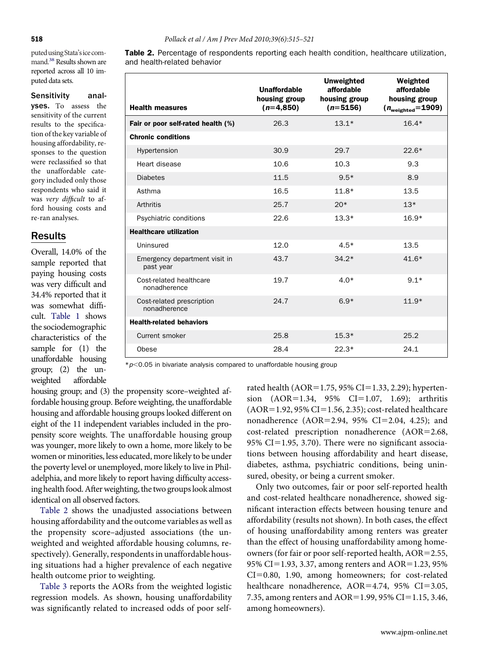puted using Stata's ice command[.38](#page-6-0) Results shown are reported across all 10 imputed data sets.

Sensitivity analyses. To assess the sensitivity of the current results to the specifıcation of the key variable of housing affordability, responses to the question were reclassifıed so that the unaffordable category included only those respondents who said it was *very diffıcult* to afford housing costs and re-ran analyses.

# Results

Overall, 14.0% of the sample reported that paying housing costs was very diffıcult and 34.4% reported that it was somewhat diffıcult. [Table 1](#page-2-0) shows the sociodemographic characteristics of the sample for (1) the unaffordable housing group; (2) the unweighted affordable **Table 2.** Percentage of respondents reporting each health condition, healthcare utilization, and health-related behavior

| <b>Health measures</b>                     | <b>Unaffordable</b><br>housing group<br>$(n=4,850)$ | Unweighted<br>affordable<br>housing group<br>$(n=5156)$ | Weighted<br>affordable<br>housing group<br>$(n_{weighted} = 1909)$ |
|--------------------------------------------|-----------------------------------------------------|---------------------------------------------------------|--------------------------------------------------------------------|
| Fair or poor self-rated health (%)         | 26.3                                                | $13.1*$                                                 | $16.4*$                                                            |
| <b>Chronic conditions</b>                  |                                                     |                                                         |                                                                    |
| Hypertension                               | 30.9                                                | 29.7                                                    | $22.6*$                                                            |
| Heart disease                              | 10.6                                                | 10.3                                                    | 9.3                                                                |
| <b>Diabetes</b>                            | 11.5                                                | $9.5*$                                                  | 8.9                                                                |
| Asthma                                     | 16.5                                                | $11.8*$                                                 | 13.5                                                               |
| Arthritis                                  | 25.7                                                | $20*$                                                   | $13*$                                                              |
| Psychiatric conditions                     | 22.6                                                | $13.3*$                                                 | $16.9*$                                                            |
| <b>Healthcare utilization</b>              |                                                     |                                                         |                                                                    |
| Uninsured                                  | 12.0                                                | $4.5*$                                                  | 13.5                                                               |
| Emergency department visit in<br>past year | 43.7                                                | $34.2*$                                                 | $41.6*$                                                            |
| Cost-related healthcare<br>nonadherence    | 19.7                                                | $4.0*$                                                  | $9.1*$                                                             |
| Cost-related prescription<br>nonadherence  | 24.7                                                | $6.9*$                                                  | $11.9*$                                                            |
| <b>Health-related behaviors</b>            |                                                     |                                                         |                                                                    |
| Current smoker                             | 25.8                                                | $15.3*$                                                 | 25.2                                                               |
| Obese                                      | 28.4                                                | $22.3*$                                                 | 24.1                                                               |

\**p*0.05 in bivariate analysis compared to unaffordable housing group

housing group; and (3) the propensity score–weighted affordable housing group. Before weighting, the unaffordable housing and affordable housing groups looked different on eight of the 11 independent variables included in the propensity score weights. The unaffordable housing group was younger, more likely to own a home, more likely to be women or minorities, less educated, more likely to be under the poverty level or unemployed, more likely to live in Philadelphia, and more likely to report having diffıculty accessing health food. After weighting, the two groups look almost identical on all observed factors.

Table 2 shows the unadjusted associations between housing affordability and the outcome variables as well as the propensity score–adjusted associations (the unweighted and weighted affordable housing columns, respectively). Generally, respondents in unaffordable housing situations had a higher prevalence of each negative health outcome prior to weighting.

[Table 3](#page-4-0) reports the AORs from the weighted logistic regression models. As shown, housing unaffordability was signifıcantly related to increased odds of poor selfrated health ( $AOR=1.75$ , 95% CI=1.33, 2.29); hypertension  $(AOR=1.34, 95\% \text{ CI}=1.07, 1.69);$  arthritis  $(AOR=1.92, 95\% CI=1.56, 2.35)$ ; cost-related healthcare nonadherence (AOR=2.94, 95% CI=2.04, 4.25); and  $cost-related$  prescription nonadherence  $(AOR=2.68,$ 95% CI=1.95, 3.70). There were no significant associations between housing affordability and heart disease, diabetes, asthma, psychiatric conditions, being uninsured, obesity, or being a current smoker.

Only two outcomes, fair or poor self-reported health and cost-related healthcare nonadherence, showed signifıcant interaction effects between housing tenure and affordability (results not shown). In both cases, the effect of housing unaffordability among renters was greater than the effect of housing unaffordability among homeowners (for fair or poor self-reported health,  $AOR = 2.55$ , 95% CI=1.93, 3.37, among renters and AOR=1.23, 95%  $CI=0.80$ , 1.90, among homeowners; for cost-related healthcare nonadherence, AOR=4.74, 95% CI=3.05, 7.35, among renters and AOR=1.99, 95% CI=1.15, 3.46, among homeowners).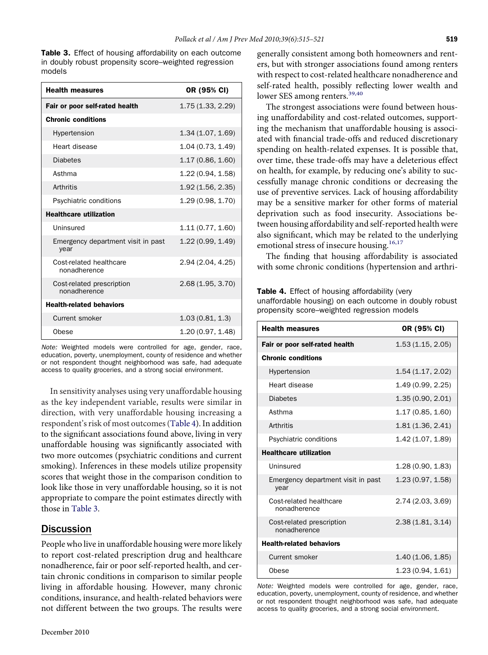<span id="page-4-0"></span>Table 3. Effect of housing affordability on each outcome in doubly robust propensity score–weighted regression models

| <b>Health measures</b>                     | OR (95% CI)       |
|--------------------------------------------|-------------------|
| Fair or poor self-rated health             | 1.75 (1.33, 2.29) |
| <b>Chronic conditions</b>                  |                   |
| Hypertension                               | 1.34(1.07, 1.69)  |
| Heart disease                              | 1.04 (0.73, 1.49) |
| <b>Diabetes</b>                            | 1.17 (0.86, 1.60) |
| Asthma                                     | 1.22 (0.94, 1.58) |
| Arthritis                                  | 1.92(1.56, 2.35)  |
| Psychiatric conditions                     | 1.29 (0.98, 1.70) |
| <b>Healthcare utilization</b>              |                   |
| Uninsured                                  | 1.11 (0.77, 1.60) |
| Emergency department visit in past<br>year | 1.22(0.99, 1.49)  |
| Cost-related healthcare<br>nonadherence    | 2.94 (2.04, 4.25) |
| Cost-related prescription<br>nonadherence  | 2.68 (1.95, 3.70) |
| <b>Health-related behaviors</b>            |                   |
| Current smoker                             | 1.03(0.81, 1.3)   |
| Obese                                      | 1.20 (0.97, 1.48) |

*Note:* Weighted models were controlled for age, gender, race, education, poverty, unemployment, county of residence and whether or not respondent thought neighborhood was safe, had adequate access to quality groceries, and a strong social environment.

In sensitivity analyses using very unaffordable housing as the key independent variable, results were similar in direction, with very unaffordable housing increasing a respondent's risk of most outcomes (Table 4). In addition to the signifıcant associations found above, living in very unaffordable housing was signifıcantly associated with two more outcomes (psychiatric conditions and current smoking). Inferences in these models utilize propensity scores that weight those in the comparison condition to look like those in very unaffordable housing, so it is not appropriate to compare the point estimates directly with those in Table 3.

# **Discussion**

People who live in unaffordable housing were more likely to report cost-related prescription drug and healthcare nonadherence, fair or poor self-reported health, and certain chronic conditions in comparison to similar people living in affordable housing. However, many chronic conditions, insurance, and health-related behaviors were not different between the two groups. The results were

generally consistent among both homeowners and renters, but with stronger associations found among renters with respect to cost-related healthcare nonadherence and self-rated health, possibly reflecting lower wealth and lower SES among renters.<sup>39,40</sup>

The strongest associations were found between housing unaffordability and cost-related outcomes, supporting the mechanism that unaffordable housing is associated with fınancial trade-offs and reduced discretionary spending on health-related expenses. It is possible that, over time, these trade-offs may have a deleterious effect on health, for example, by reducing one's ability to successfully manage chronic conditions or decreasing the use of preventive services. Lack of housing affordability may be a sensitive marker for other forms of material deprivation such as food insecurity. Associations between housing affordability and self-reported health were also signifıcant, which may be related to the underlying emotional stress of insecure housing.<sup>[16,17](#page-6-0)</sup>

The fınding that housing affordability is associated with some chronic conditions (hypertension and arthri-

Table 4. Effect of housing affordability (very unaffordable housing) on each outcome in doubly robust propensity score–weighted regression models

| <b>Health measures</b>                     | OR (95% CI)       |
|--------------------------------------------|-------------------|
| Fair or poor self-rated health             | 1.53 (1.15, 2.05) |
| <b>Chronic conditions</b>                  |                   |
| Hypertension                               | 1.54(1.17, 2.02)  |
| Heart disease                              | 1.49 (0.99, 2.25) |
| <b>Diabetes</b>                            | 1.35(0.90, 2.01)  |
| Asthma                                     | 1.17 (0.85, 1.60) |
| Arthritis                                  | 1.81(1.36, 2.41)  |
| Psychiatric conditions                     | 1.42 (1.07, 1.89) |
| <b>Healthcare utilization</b>              |                   |
| Uninsured                                  | 1.28(0.90, 1.83)  |
| Emergency department visit in past<br>year | 1.23 (0.97, 1.58) |
| Cost-related healthcare<br>nonadherence    | 2.74 (2.03, 3.69) |
| Cost-related prescription<br>nonadherence  | 2.38(1.81, 3.14)  |
| <b>Health-related behaviors</b>            |                   |
| Current smoker                             | 1.40(1.06, 1.85)  |
| Obese                                      | 1.23(0.94, 1.61)  |

*Note:* Weighted models were controlled for age, gender, race, education, poverty, unemployment, county of residence, and whether or not respondent thought neighborhood was safe, had adequate access to quality groceries, and a strong social environment.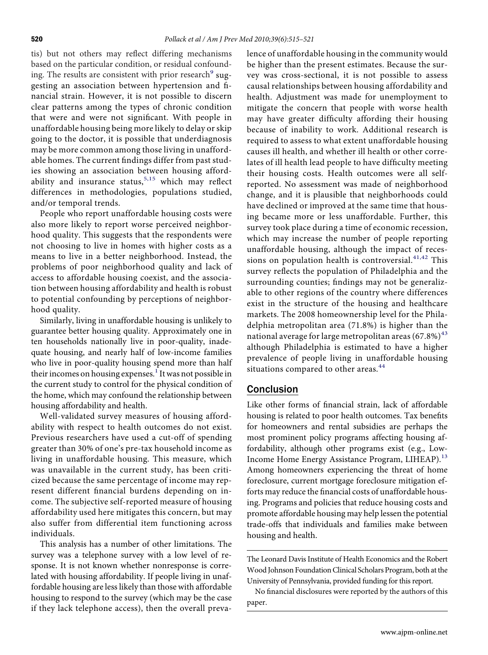tis) but not others may reflect differing mechanisms based on the particular condition, or residual confound-ing. The results are consistent with prior research<sup>[9](#page-6-0)</sup> suggesting an association between hypertension and fınancial strain. However, it is not possible to discern clear patterns among the types of chronic condition that were and were not signifıcant. With people in unaffordable housing being more likely to delay or skip going to the doctor, it is possible that underdiagnosis may be more common among those living in unaffordable homes. The current fındings differ from past studies showing an association between housing affordability and insurance status, $5,15$  which may reflect differences in methodologies, populations studied, and/or temporal trends.

People who report unaffordable housing costs were also more likely to report worse perceived neighborhood quality. This suggests that the respondents were not choosing to live in homes with higher costs as a means to live in a better neighborhood. Instead, the problems of poor neighborhood quality and lack of access to affordable housing coexist, and the association between housing affordability and health is robust to potential confounding by perceptions of neighborhood quality.

Similarly, living in unaffordable housing is unlikely to guarantee better housing quality. Approximately one in ten households nationally live in poor-quality, inadequate housing, and nearly half of low-income families who live in poor-quality housing spend more than half their incomes on housing expenses.<sup>[1](#page-6-0)</sup> It was not possible in the current study to control for the physical condition of the home, which may confound the relationship between housing affordability and health.

Well-validated survey measures of housing affordability with respect to health outcomes do not exist. Previous researchers have used a cut-off of spending greater than 30% of one's pre-tax household income as living in unaffordable housing. This measure, which was unavailable in the current study, has been criticized because the same percentage of income may represent different fınancial burdens depending on income. The subjective self-reported measure of housing affordability used here mitigates this concern, but may also suffer from differential item functioning across individuals.

This analysis has a number of other limitations. The survey was a telephone survey with a low level of response. It is not known whether nonresponse is correlated with housing affordability. If people living in unaffordable housing are less likely than those with affordable housing to respond to the survey (which may be the case if they lack telephone access), then the overall prevalence of unaffordable housing in the community would be higher than the present estimates. Because the survey was cross-sectional, it is not possible to assess causal relationships between housing affordability and health. Adjustment was made for unemployment to mitigate the concern that people with worse health may have greater diffıculty affording their housing because of inability to work. Additional research is required to assess to what extent unaffordable housing causes ill health, and whether ill health or other correlates of ill health lead people to have diffıculty meeting their housing costs. Health outcomes were all selfreported. No assessment was made of neighborhood change, and it is plausible that neighborhoods could have declined or improved at the same time that housing became more or less unaffordable. Further, this survey took place during a time of economic recession, which may increase the number of people reporting unaffordable housing, although the impact of reces-sions on population health is controversial.<sup>[41,42](#page-6-0)</sup> This survey reflects the population of Philadelphia and the surrounding counties; fındings may not be generalizable to other regions of the country where differences exist in the structure of the housing and healthcare markets. The 2008 homeownership level for the Philadelphia metropolitan area (71.8%) is higher than the national average for large metropolitan areas  $(67.8\%)^{43}$  $(67.8\%)^{43}$  $(67.8\%)^{43}$ although Philadelphia is estimated to have a higher prevalence of people living in unaffordable housing situations compared to other areas.<sup>[44](#page-6-0)</sup>

# Conclusion

Like other forms of fınancial strain, lack of affordable housing is related to poor health outcomes. Tax benefıts for homeowners and rental subsidies are perhaps the most prominent policy programs affecting housing affordability, although other programs exist (e.g., Low-Income Home Energy Assistance Program, LIHEAP).<sup>13</sup> Among homeowners experiencing the threat of home foreclosure, current mortgage foreclosure mitigation efforts may reduce the fınancial costs of unaffordable housing. Programs and policies that reduce housing costs and promote affordable housing may help lessen the potential trade-offs that individuals and families make between housing and health.

The Leonard Davis Institute of Health Economics and the Robert Wood Johnson Foundation Clinical Scholars Program, both at the University of Pennsylvania, provided funding for this report.

No fınancial disclosures were reported by the authors of this paper.